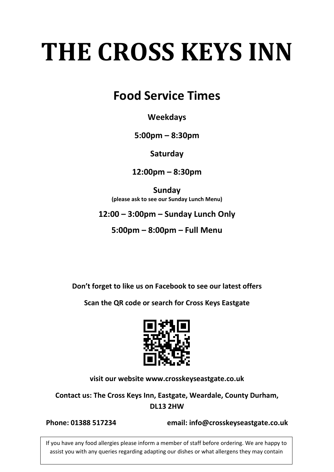# **THE CROSS KEYS INN**

# **Food Service Times**

#### **Weekdays**

#### **5:00pm – 8:30pm**

**Saturday**

**12:00pm – 8:30pm**

**Sunday (please ask to see our Sunday Lunch Menu)**

#### **12:00 – 3:00pm – Sunday Lunch Only**

**5:00pm – 8:00pm – Full Menu**

**Don't forget to like us on Facebook to see our latest offers**

**Scan the QR code or search for Cross Keys Eastgate**



**visit our website [www.crosskeyseastgate.co.uk](http://www.crosskeyseastgate.co.uk/)**

**Contact us: The Cross Keys Inn, Eastgate, Weardale, County Durham, DL13 2HW**

**Phone: 01388 517234 email: info@crosskeyseastgate.co.uk**

If you have any food allergies please inform a member of staff before ordering. We are happy to assist you with any queries regarding adapting our dishes or what allergens they may contain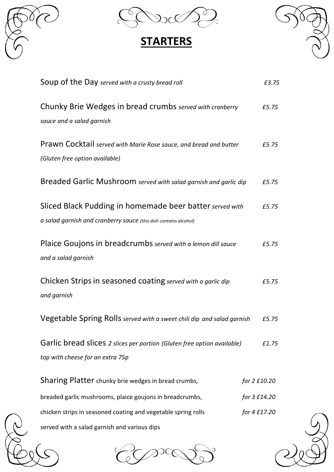



# **STARTERS**



| Soup of the Day served with a crusty bread roll                                                                              | £3.75        |
|------------------------------------------------------------------------------------------------------------------------------|--------------|
| Chunky Brie Wedges in bread crumbs served with cranberry<br>sauce and a salad garnish                                        | £5.75        |
| <b>Prawn Cocktail</b> served with Marie Rose sauce, and bread and butter<br>(Gluten free option available)                   | £5.75        |
| Breaded Garlic Mushroom served with salad garnish and garlic dip                                                             | £5.75        |
| Sliced Black Pudding in homemade beer batter served with<br>a salad garnish and cranberry sauce (this dish contains alcohol) | £5.75        |
| Plaice Goujons in breadcrumbs served with a lemon dill sauce<br>and a salad garnish                                          | £5.75        |
| Chicken Strips in seasoned coating served with a garlic dip<br>and garnish                                                   | £5.75        |
| Vegetable Spring Rolls served with a sweet chili dip and salad garnish                                                       | £5.75        |
| Garlic bread slices 2 slices per portion (Gluten free option available)<br>top with cheese for an extra 75p                  | £1.75        |
| Sharing Platter chunky brie wedges in bread crumbs,                                                                          | for 2 £10.20 |
| breaded garlic mushrooms, plaice goujons in breadcrumbs,                                                                     | for 3 £14.20 |
| chicken strips in seasoned coating and vegetable spring rolls<br>served with a salad garnish and various dips                | for 4 £17.20 |

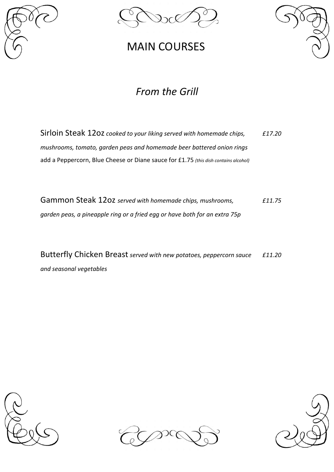





#### *From the Grill*

Sirloin Steak 12oz *cooked to your liking served with homemade chips,* F17.20 *mushrooms, tomato, garden peas and homemade beer battered onion rings* add a Peppercorn, Blue Cheese or Diane sauce for £1.75 *(this dish contains alcohol)*

Gammon Steak 12oz *served with homemade chips, mushrooms, £11.75 garden peas, a pineapple ring or a fried egg or have both for an extra 75p*

Butterfly Chicken Breast *served with new potatoes, peppercorn sauce £11.20 and seasonal vegetables*





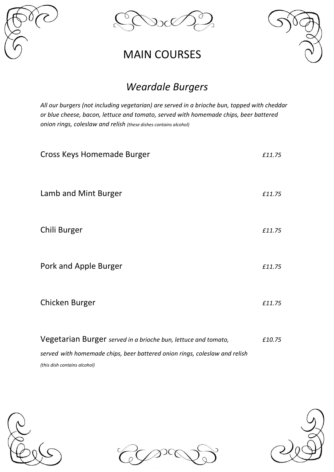



#### *Weardale Burgers*

*All our burgers (not including vegetarian) are served in a brioche bun, topped with cheddar or blue cheese, bacon, lettuce and tomato, served with homemade chips, beer battered onion rings, coleslaw and relish (these dishes contains alcohol)*

| Cross Keys Homemade Burger                                     | £11.75 |
|----------------------------------------------------------------|--------|
| Lamb and Mint Burger                                           | £11.75 |
| Chili Burger                                                   | £11.75 |
| Pork and Apple Burger                                          | £11.75 |
| Chicken Burger                                                 | £11.75 |
| Vegetarian Burger served in a brioche bun, lettuce and tomato, | £10.75 |

*served with homemade chips, beer battered onion rings, coleslaw and relish (this dish contains alcohol)*





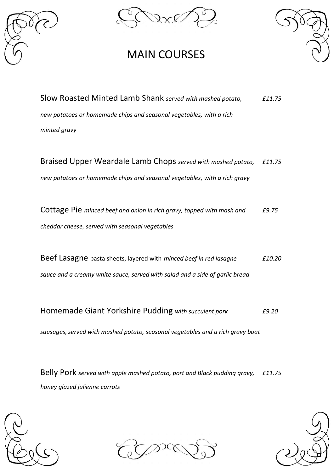



Slow Roasted Minted Lamb Shank *served with mashed potato, £11.75 new potatoes or homemade chips and seasonal vegetables, with a rich minted gravy*

Braised Upper Weardale Lamb Chops *served with mashed potato, £11.75 new potatoes or homemade chips and seasonal vegetables, with a rich gravy*

Cottage Pie *minced beef and onion in rich gravy, topped with mash and £9.75 cheddar cheese, served with seasonal vegetables*

Beef Lasagne pasta sheets, layered with *minced beef in red lasagne £10.20 sauce and a creamy white sauce, served with salad and a side of garlic bread*

Homemade Giant Yorkshire Pudding *with succulent pork £9.20*

*sausages,served with mashed potato, seasonal vegetables and a rich gravy boat*

Belly Pork *served with apple mashed potato, port and Black pudding gravy, £11.75 honey glazed julienne carrots*



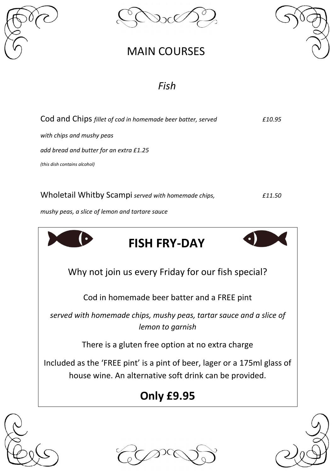



#### *Fish*



Why not join us every Friday for our fish special?

Cod in homemade beer batter and a FREE pint

*served with homemade chips, mushy peas, tartar sauce and a slice of lemon to garnish*

There is a gluten free option at no extra charge

Included as the 'FREE pint' is a pint of beer, lager or a 175ml glass of house wine. An alternative soft drink can be provided.

# **Only £9.95**





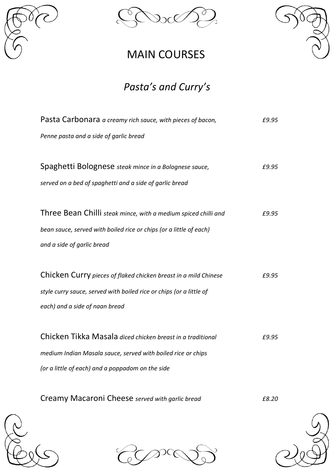



#### *Pasta's and Curry's*

| Pasta Carbonara a creamy rich sauce, with pieces of bacon,          | £9.95 |
|---------------------------------------------------------------------|-------|
| Penne pasta and a side of garlic bread                              |       |
|                                                                     |       |
| Spaghetti Bolognese steak mince in a Bolognese sauce,               | £9.95 |
| served on a bed of spaghetti and a side of garlic bread             |       |
|                                                                     |       |
| Three Bean Chilli steak mince, with a medium spiced chilli and      | £9.95 |
| bean sauce, served with boiled rice or chips (or a little of each)  |       |
| and a side of garlic bread                                          |       |
|                                                                     |       |
| Chicken Curry pieces of flaked chicken breast in a mild Chinese     | £9.95 |
| style curry sauce, served with boiled rice or chips (or a little of |       |
| each) and a side of naan bread                                      |       |
|                                                                     |       |
| Chicken Tikka Masala diced chicken breast in a traditional          | £9.95 |
| medium Indian Masala sauce, served with boiled rice or chips        |       |
| (or a little of each) and a poppadom on the side                    |       |
|                                                                     |       |
| Creamy Macaroni Cheese served with garlic bread                     | £8.20 |

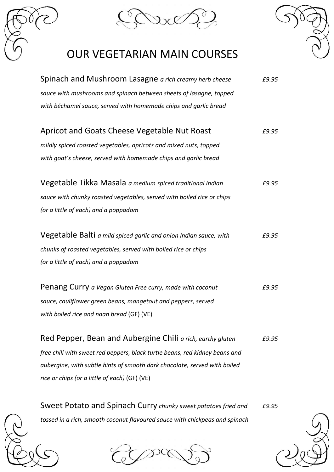

#### OUR VEGETARIAN MAIN COURSES

| Spinach and Mushroom Lasagne a rich creamy herb cheese                      | £9.95 |
|-----------------------------------------------------------------------------|-------|
| sauce with mushrooms and spinach between sheets of lasagne, topped          |       |
| with béchamel sauce, served with homemade chips and garlic bread            |       |
|                                                                             |       |
| Apricot and Goats Cheese Vegetable Nut Roast                                | £9.95 |
| mildly spiced roasted vegetables, apricots and mixed nuts, topped           |       |
| with goat's cheese, served with homemade chips and garlic bread             |       |
|                                                                             |       |
| Vegetable Tikka Masala a medium spiced traditional Indian                   | £9.95 |
| sauce with chunky roasted vegetables, served with boiled rice or chips      |       |
| (or a little of each) and a poppadom                                        |       |
|                                                                             |       |
| Vegetable Balti a mild spiced garlic and onion Indian sauce, with           | £9.95 |
| chunks of roasted vegetables, served with boiled rice or chips              |       |
| (or a little of each) and a poppadom                                        |       |
|                                                                             |       |
| Penang Curry a Vegan Gluten Free curry, made with coconut                   | £9.95 |
| sauce, cauliflower green beans, mangetout and peppers, served               |       |
| with boiled rice and naan bread (GF) (VE)                                   |       |
| Red Pepper, Bean and Aubergine Chili a rich, earthy gluten                  | £9.95 |
|                                                                             |       |
| free chili with sweet red peppers, black turtle beans, red kidney beans and |       |
| aubergine, with subtle hints of smooth dark chocolate, served with boiled   |       |
| rice or chips (or a little of each) (GF) (VE)                               |       |

Sweet Potato and Spinach Curry *chunky sweet potatoes fried and £9.95 tossed in a rich, smooth coconut flavoured sauce with chickpeas and spinach*



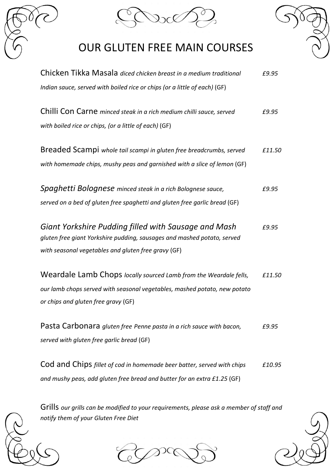

### OUR GLUTEN FREE MAIN COURSES



| Chicken Tikka Masala diced chicken breast in a medium traditional          | £9.95  |
|----------------------------------------------------------------------------|--------|
| Indian sauce, served with boiled rice or chips (or a little of each) (GF)  |        |
| Chilli Con Carne minced steak in a rich medium chilli sauce, served        | £9.95  |
| with boiled rice or chips, (or a little of each) (GF)                      |        |
| Breaded Scampi whole tail scampi in gluten free breadcrumbs, served        | £11.50 |
| with homemade chips, mushy peas and garnished with a slice of lemon (GF)   |        |
| Spaghetti Bolognese minced steak in a rich Bolognese sauce,                | £9.95  |
| served on a bed of gluten free spaghetti and gluten free garlic bread (GF) |        |
| Giant Yorkshire Pudding filled with Sausage and Mash                       | £9.95  |
| gluten free giant Yorkshire pudding, sausages and mashed potato, served    |        |
| with seasonal vegetables and gluten free gravy (GF)                        |        |
| Weardale Lamb Chops locally sourced Lamb from the Weardale fells,          | £11.50 |
| our lamb chops served with seasonal vegetables, mashed potato, new potato  |        |
| or chips and gluten free gravy (GF)                                        |        |
| Pasta Carbonara gluten free Penne pasta in a rich sauce with bacon,        | £9.95  |
| served with gluten free garlic bread (GF)                                  |        |
| Cod and Chips fillet of cod in homemade beer batter, served with chips     | £10.95 |

Grills *our grills can be modified to your requirements, please ask a member of staff and notify them of your Gluten Free Diet*

*and mushy peas, add gluten free bread and butter for an extra £1.25* (GF)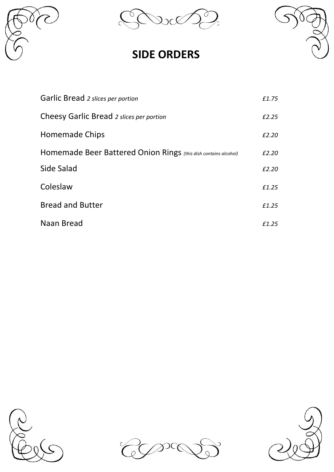

Q  $\mathcal{C}$ 

#### **SIDE ORDERS**



| Garlic Bread 2 slices per portion                               | £1.75 |
|-----------------------------------------------------------------|-------|
| Cheesy Garlic Bread 2 slices per portion                        | £2.25 |
| Homemade Chips                                                  | £2.20 |
| Homemade Beer Battered Onion Rings (this dish contains alcohol) | £2.20 |
| Side Salad                                                      | £2.20 |
| Coleslaw                                                        | £1.25 |
| <b>Bread and Butter</b>                                         | £1.25 |
| Naan Bread                                                      | £1.25 |